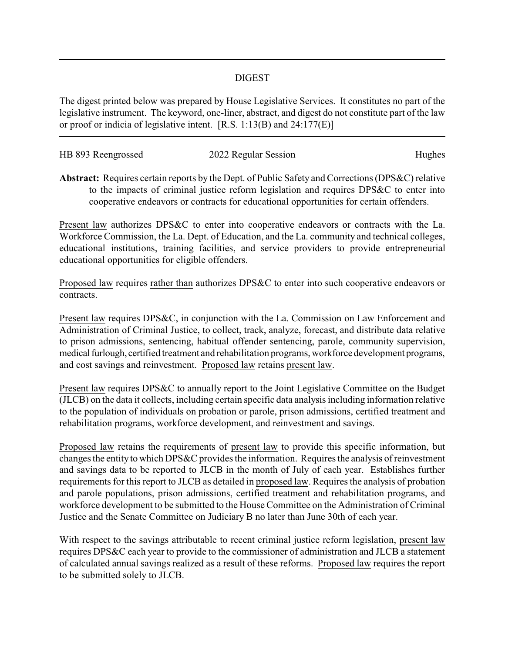## DIGEST

The digest printed below was prepared by House Legislative Services. It constitutes no part of the legislative instrument. The keyword, one-liner, abstract, and digest do not constitute part of the law or proof or indicia of legislative intent. [R.S. 1:13(B) and 24:177(E)]

| HB 893 Reengrossed | 2022 Regular Session | Hughes |
|--------------------|----------------------|--------|
|                    |                      |        |

**Abstract:** Requires certain reports by the Dept. of Public Safety and Corrections (DPS&C) relative to the impacts of criminal justice reform legislation and requires DPS&C to enter into cooperative endeavors or contracts for educational opportunities for certain offenders.

Present law authorizes DPS&C to enter into cooperative endeavors or contracts with the La. Workforce Commission, the La. Dept. of Education, and the La. community and technical colleges, educational institutions, training facilities, and service providers to provide entrepreneurial educational opportunities for eligible offenders.

Proposed law requires rather than authorizes DPS&C to enter into such cooperative endeavors or contracts.

Present law requires DPS&C, in conjunction with the La. Commission on Law Enforcement and Administration of Criminal Justice, to collect, track, analyze, forecast, and distribute data relative to prison admissions, sentencing, habitual offender sentencing, parole, community supervision, medical furlough, certified treatment and rehabilitation programs, workforce development programs, and cost savings and reinvestment. Proposed law retains present law.

Present law requires DPS&C to annually report to the Joint Legislative Committee on the Budget (JLCB) on the data it collects, including certain specific data analysis including information relative to the population of individuals on probation or parole, prison admissions, certified treatment and rehabilitation programs, workforce development, and reinvestment and savings.

Proposed law retains the requirements of present law to provide this specific information, but changes the entity to which DPS&C provides the information. Requires the analysis of reinvestment and savings data to be reported to JLCB in the month of July of each year. Establishes further requirements for this report to JLCB as detailed in proposed law. Requires the analysis of probation and parole populations, prison admissions, certified treatment and rehabilitation programs, and workforce development to be submitted to the House Committee on the Administration of Criminal Justice and the Senate Committee on Judiciary B no later than June 30th of each year.

With respect to the savings attributable to recent criminal justice reform legislation, present law requires DPS&C each year to provide to the commissioner of administration and JLCB a statement of calculated annual savings realized as a result of these reforms. Proposed law requires the report to be submitted solely to JLCB.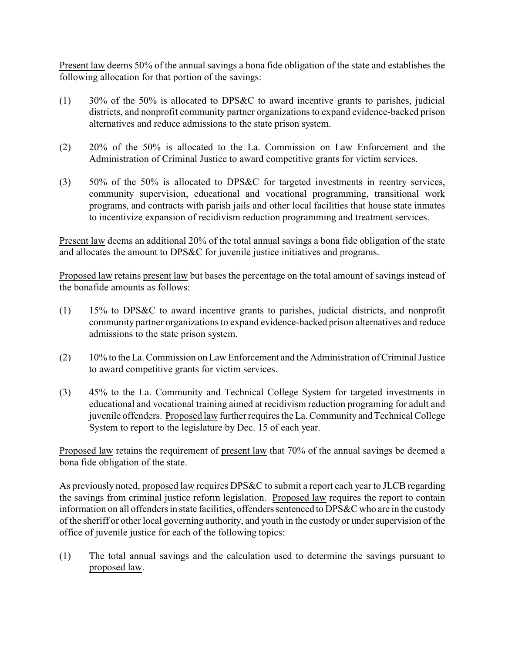Present law deems 50% of the annual savings a bona fide obligation of the state and establishes the following allocation for that portion of the savings:

- (1) 30% of the 50% is allocated to DPS&C to award incentive grants to parishes, judicial districts, and nonprofit community partner organizations to expand evidence-backed prison alternatives and reduce admissions to the state prison system.
- (2) 20% of the 50% is allocated to the La. Commission on Law Enforcement and the Administration of Criminal Justice to award competitive grants for victim services.
- (3) 50% of the 50% is allocated to DPS&C for targeted investments in reentry services, community supervision, educational and vocational programming, transitional work programs, and contracts with parish jails and other local facilities that house state inmates to incentivize expansion of recidivism reduction programming and treatment services.

Present law deems an additional 20% of the total annual savings a bona fide obligation of the state and allocates the amount to DPS&C for juvenile justice initiatives and programs.

Proposed law retains present law but bases the percentage on the total amount of savings instead of the bonafide amounts as follows:

- (1) 15% to DPS&C to award incentive grants to parishes, judicial districts, and nonprofit community partner organizations to expand evidence-backed prison alternatives and reduce admissions to the state prison system.
- (2) 10% to the La. Commission on Law Enforcement and the Administration of Criminal Justice to award competitive grants for victim services.
- (3) 45% to the La. Community and Technical College System for targeted investments in educational and vocational training aimed at recidivism reduction programing for adult and juvenile offenders. Proposed law further requires the La. Community and Technical College System to report to the legislature by Dec. 15 of each year.

Proposed law retains the requirement of present law that 70% of the annual savings be deemed a bona fide obligation of the state.

As previously noted, proposed law requires DPS&C to submit a report each year to JLCB regarding the savings from criminal justice reform legislation. Proposed law requires the report to contain information on all offenders in state facilities, offenders sentenced to DPS&C who are in the custody of the sheriff or other local governing authority, and youth in the custody or under supervision of the office of juvenile justice for each of the following topics:

(1) The total annual savings and the calculation used to determine the savings pursuant to proposed law.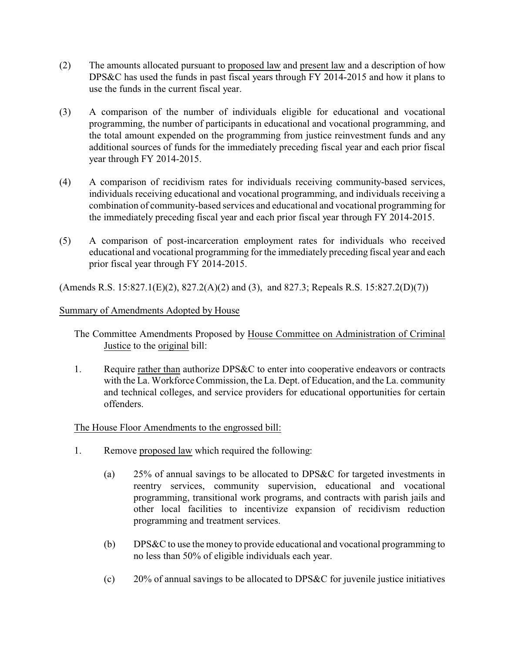- (2) The amounts allocated pursuant to proposed law and present law and a description of how DPS&C has used the funds in past fiscal years through FY 2014-2015 and how it plans to use the funds in the current fiscal year.
- (3) A comparison of the number of individuals eligible for educational and vocational programming, the number of participants in educational and vocational programming, and the total amount expended on the programming from justice reinvestment funds and any additional sources of funds for the immediately preceding fiscal year and each prior fiscal year through FY 2014-2015.
- (4) A comparison of recidivism rates for individuals receiving community-based services, individuals receiving educational and vocational programming, and individuals receiving a combination of community-based services and educational and vocational programming for the immediately preceding fiscal year and each prior fiscal year through FY 2014-2015.
- (5) A comparison of post-incarceration employment rates for individuals who received educational and vocational programming for the immediately preceding fiscal year and each prior fiscal year through FY 2014-2015.

(Amends R.S. 15:827.1(E)(2), 827.2(A)(2) and (3), and 827.3; Repeals R.S. 15:827.2(D)(7))

## Summary of Amendments Adopted by House

The Committee Amendments Proposed by House Committee on Administration of Criminal Justice to the original bill:

1. Require rather than authorize DPS&C to enter into cooperative endeavors or contracts with the La. Workforce Commission, the La. Dept. of Education, and the La. community and technical colleges, and service providers for educational opportunities for certain offenders.

## The House Floor Amendments to the engrossed bill:

- 1. Remove proposed law which required the following:
	- (a) 25% of annual savings to be allocated to DPS&C for targeted investments in reentry services, community supervision, educational and vocational programming, transitional work programs, and contracts with parish jails and other local facilities to incentivize expansion of recidivism reduction programming and treatment services.
	- (b) DPS&C to use the money to provide educational and vocational programming to no less than 50% of eligible individuals each year.
	- (c) 20% of annual savings to be allocated to DPS&C for juvenile justice initiatives